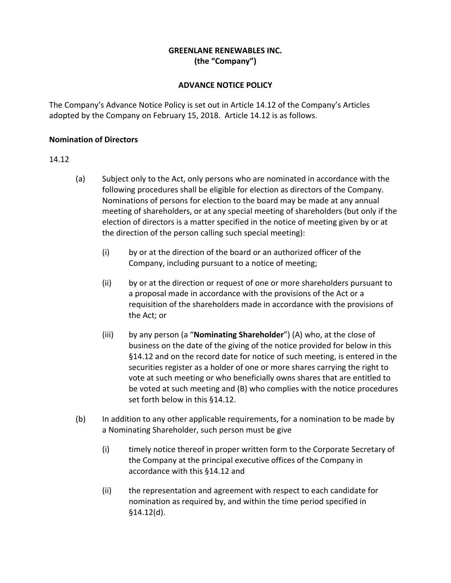## **GREENLANE RENEWABLES INC. (the "Company")**

## **ADVANCE NOTICE POLICY**

The Company's Advance Notice Policy is set out in Article 14.12 of the Company's Articles adopted by the Company on February 15, 2018. Article 14.12 is as follows.

## **Nomination of Directors**

## 14.12

- (a) Subject only to the Act, only persons who are nominated in accordance with the following procedures shall be eligible for election as directors of the Company. Nominations of persons for election to the board may be made at any annual meeting of shareholders, or at any special meeting of shareholders (but only if the election of directors is a matter specified in the notice of meeting given by or at the direction of the person calling such special meeting):
	- (i) by or at the direction of the board or an authorized officer of the Company, including pursuant to a notice of meeting;
	- (ii) by or at the direction or request of one or more shareholders pursuant to a proposal made in accordance with the provisions of the Act or a requisition of the shareholders made in accordance with the provisions of the Act; or
	- (iii) by any person (a "**Nominating Shareholder**") (A) who, at the close of business on the date of the giving of the notice provided for below in this §14.12 and on the record date for notice of such meeting, is entered in the securities register as a holder of one or more shares carrying the right to vote at such meeting or who beneficially owns shares that are entitled to be voted at such meeting and (B) who complies with the notice procedures set forth below in this §14.12.
- (b) In addition to any other applicable requirements, for a nomination to be made by a Nominating Shareholder, such person must be give
	- (i) timely notice thereof in proper written form to the Corporate Secretary of the Company at the principal executive offices of the Company in accordance with this §14.12 and
	- (ii) the representation and agreement with respect to each candidate for nomination as required by, and within the time period specified in §14.12(d).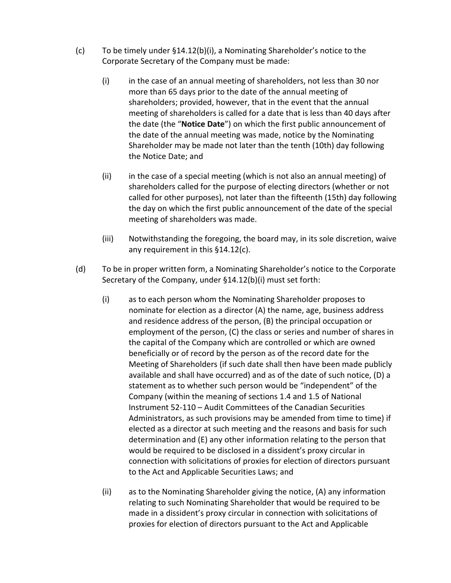- (c) To be timely under §14.12(b)(i), a Nominating Shareholder's notice to the Corporate Secretary of the Company must be made:
	- (i) in the case of an annual meeting of shareholders, not less than 30 nor more than 65 days prior to the date of the annual meeting of shareholders; provided, however, that in the event that the annual meeting of shareholders is called for a date that is less than 40 days after the date (the "**Notice Date**") on which the first public announcement of the date of the annual meeting was made, notice by the Nominating Shareholder may be made not later than the tenth (10th) day following the Notice Date; and
	- (ii) in the case of a special meeting (which is not also an annual meeting) of shareholders called for the purpose of electing directors (whether or not called for other purposes), not later than the fifteenth (15th) day following the day on which the first public announcement of the date of the special meeting of shareholders was made.
	- (iii) Notwithstanding the foregoing, the board may, in its sole discretion, waive any requirement in this §14.12(c).
- (d) To be in proper written form, a Nominating Shareholder's notice to the Corporate Secretary of the Company, under §14.12(b)(i) must set forth:
	- (i) as to each person whom the Nominating Shareholder proposes to nominate for election as a director (A) the name, age, business address and residence address of the person, (B) the principal occupation or employment of the person, (C) the class or series and number of shares in the capital of the Company which are controlled or which are owned beneficially or of record by the person as of the record date for the Meeting of Shareholders (if such date shall then have been made publicly available and shall have occurred) and as of the date of such notice, (D) a statement as to whether such person would be "independent" of the Company (within the meaning of sections 1.4 and 1.5 of National Instrument 52‐110 – Audit Committees of the Canadian Securities Administrators, as such provisions may be amended from time to time) if elected as a director at such meeting and the reasons and basis for such determination and (E) any other information relating to the person that would be required to be disclosed in a dissident's proxy circular in connection with solicitations of proxies for election of directors pursuant to the Act and Applicable Securities Laws; and
	- (ii) as to the Nominating Shareholder giving the notice, (A) any information relating to such Nominating Shareholder that would be required to be made in a dissident's proxy circular in connection with solicitations of proxies for election of directors pursuant to the Act and Applicable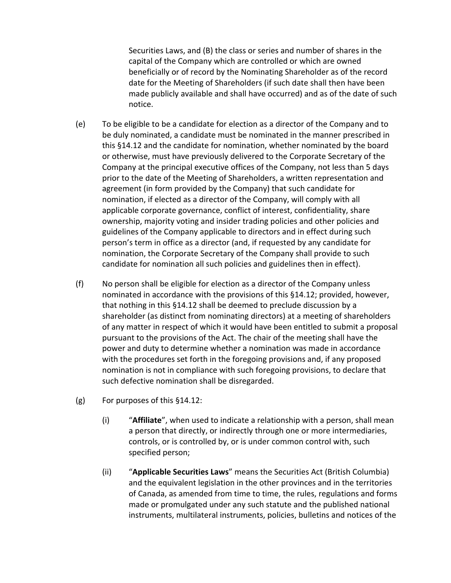Securities Laws, and (B) the class or series and number of shares in the capital of the Company which are controlled or which are owned beneficially or of record by the Nominating Shareholder as of the record date for the Meeting of Shareholders (if such date shall then have been made publicly available and shall have occurred) and as of the date of such notice.

- (e) To be eligible to be a candidate for election as a director of the Company and to be duly nominated, a candidate must be nominated in the manner prescribed in this §14.12 and the candidate for nomination, whether nominated by the board or otherwise, must have previously delivered to the Corporate Secretary of the Company at the principal executive offices of the Company, not less than 5 days prior to the date of the Meeting of Shareholders, a written representation and agreement (in form provided by the Company) that such candidate for nomination, if elected as a director of the Company, will comply with all applicable corporate governance, conflict of interest, confidentiality, share ownership, majority voting and insider trading policies and other policies and guidelines of the Company applicable to directors and in effect during such person's term in office as a director (and, if requested by any candidate for nomination, the Corporate Secretary of the Company shall provide to such candidate for nomination all such policies and guidelines then in effect).
- (f) No person shall be eligible for election as a director of the Company unless nominated in accordance with the provisions of this §14.12; provided, however, that nothing in this §14.12 shall be deemed to preclude discussion by a shareholder (as distinct from nominating directors) at a meeting of shareholders of any matter in respect of which it would have been entitled to submit a proposal pursuant to the provisions of the Act. The chair of the meeting shall have the power and duty to determine whether a nomination was made in accordance with the procedures set forth in the foregoing provisions and, if any proposed nomination is not in compliance with such foregoing provisions, to declare that such defective nomination shall be disregarded.
- (g) For purposes of this §14.12:
	- (i) "**Affiliate**", when used to indicate a relationship with a person, shall mean a person that directly, or indirectly through one or more intermediaries, controls, or is controlled by, or is under common control with, such specified person;
	- (ii) "**Applicable Securities Laws**" means the Securities Act (British Columbia) and the equivalent legislation in the other provinces and in the territories of Canada, as amended from time to time, the rules, regulations and forms made or promulgated under any such statute and the published national instruments, multilateral instruments, policies, bulletins and notices of the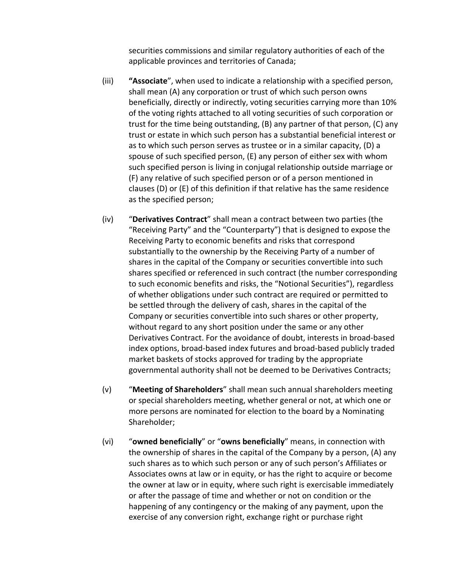securities commissions and similar regulatory authorities of each of the applicable provinces and territories of Canada;

- (iii) **"Associate**", when used to indicate a relationship with a specified person, shall mean (A) any corporation or trust of which such person owns beneficially, directly or indirectly, voting securities carrying more than 10% of the voting rights attached to all voting securities of such corporation or trust for the time being outstanding, (B) any partner of that person, (C) any trust or estate in which such person has a substantial beneficial interest or as to which such person serves as trustee or in a similar capacity, (D) a spouse of such specified person, (E) any person of either sex with whom such specified person is living in conjugal relationship outside marriage or (F) any relative of such specified person or of a person mentioned in clauses (D) or (E) of this definition if that relative has the same residence as the specified person;
- (iv) "**Derivatives Contract**" shall mean a contract between two parties (the "Receiving Party" and the "Counterparty") that is designed to expose the Receiving Party to economic benefits and risks that correspond substantially to the ownership by the Receiving Party of a number of shares in the capital of the Company or securities convertible into such shares specified or referenced in such contract (the number corresponding to such economic benefits and risks, the "Notional Securities"), regardless of whether obligations under such contract are required or permitted to be settled through the delivery of cash, shares in the capital of the Company or securities convertible into such shares or other property, without regard to any short position under the same or any other Derivatives Contract. For the avoidance of doubt, interests in broad‐based index options, broad‐based index futures and broad‐based publicly traded market baskets of stocks approved for trading by the appropriate governmental authority shall not be deemed to be Derivatives Contracts;
- (v) "**Meeting of Shareholders**" shall mean such annual shareholders meeting or special shareholders meeting, whether general or not, at which one or more persons are nominated for election to the board by a Nominating Shareholder;
- (vi) "**owned beneficially**" or "**owns beneficially**" means, in connection with the ownership of shares in the capital of the Company by a person, (A) any such shares as to which such person or any of such person's Affiliates or Associates owns at law or in equity, or has the right to acquire or become the owner at law or in equity, where such right is exercisable immediately or after the passage of time and whether or not on condition or the happening of any contingency or the making of any payment, upon the exercise of any conversion right, exchange right or purchase right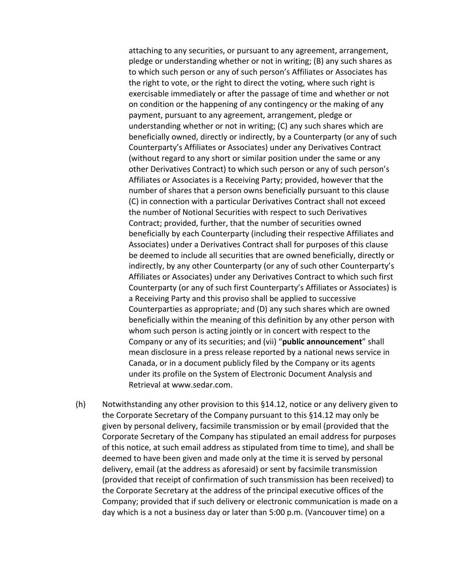attaching to any securities, or pursuant to any agreement, arrangement, pledge or understanding whether or not in writing; (B) any such shares as to which such person or any of such person's Affiliates or Associates has the right to vote, or the right to direct the voting, where such right is exercisable immediately or after the passage of time and whether or not on condition or the happening of any contingency or the making of any payment, pursuant to any agreement, arrangement, pledge or understanding whether or not in writing; (C) any such shares which are beneficially owned, directly or indirectly, by a Counterparty (or any of such Counterparty's Affiliates or Associates) under any Derivatives Contract (without regard to any short or similar position under the same or any other Derivatives Contract) to which such person or any of such person's Affiliates or Associates is a Receiving Party; provided, however that the number of shares that a person owns beneficially pursuant to this clause (C) in connection with a particular Derivatives Contract shall not exceed the number of Notional Securities with respect to such Derivatives Contract; provided, further, that the number of securities owned beneficially by each Counterparty (including their respective Affiliates and Associates) under a Derivatives Contract shall for purposes of this clause be deemed to include all securities that are owned beneficially, directly or indirectly, by any other Counterparty (or any of such other Counterparty's Affiliates or Associates) under any Derivatives Contract to which such first Counterparty (or any of such first Counterparty's Affiliates or Associates) is a Receiving Party and this proviso shall be applied to successive Counterparties as appropriate; and (D) any such shares which are owned beneficially within the meaning of this definition by any other person with whom such person is acting jointly or in concert with respect to the Company or any of its securities; and (vii) "**public announcement**" shall mean disclosure in a press release reported by a national news service in Canada, or in a document publicly filed by the Company or its agents under its profile on the System of Electronic Document Analysis and Retrieval at www.sedar.com.

(h) Notwithstanding any other provision to this §14.12, notice or any delivery given to the Corporate Secretary of the Company pursuant to this §14.12 may only be given by personal delivery, facsimile transmission or by email (provided that the Corporate Secretary of the Company has stipulated an email address for purposes of this notice, at such email address as stipulated from time to time), and shall be deemed to have been given and made only at the time it is served by personal delivery, email (at the address as aforesaid) or sent by facsimile transmission (provided that receipt of confirmation of such transmission has been received) to the Corporate Secretary at the address of the principal executive offices of the Company; provided that if such delivery or electronic communication is made on a day which is a not a business day or later than 5:00 p.m. (Vancouver time) on a